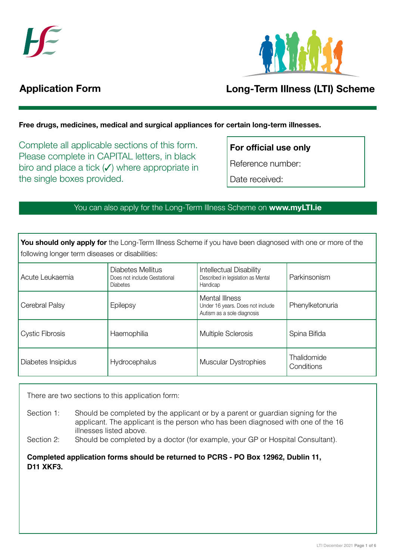



# Application Form

Registration Form

# **Long-Term Illness (LTI) Scheme** Domiciliary Care Allowance (DCA)

Free drugs, medicines, medical and surgical appliances for certain long-term illnesses.

Please read 'Help and information' on page 4 before completing this form. Please complete in CAPITAL letters, in black biro and place a tick  $($  $)$  where appropriate in the single boxes provided. Complete all applicable sections of this form.

For official use only

Please tick this box to accept SMS (text message)

Reference number:

Date received:

## in the single boxes provided. You can also apply for the Long-Term Illness Scheme on www.myLTI.ie

following longer term diseases or disabilities: Gender: PPS number: You should only apply for the Long-Term Illness Scheme if you have been diagnosed with one or more of the

| Acute Leukaemia        | Diabetes Mellitus<br>Does not include Gestational<br><b>Diabetes</b> | <b>Intellectual Disability</b><br>Described in legislation as Mental<br>Handicap | Parkinsonism              |
|------------------------|----------------------------------------------------------------------|----------------------------------------------------------------------------------|---------------------------|
| Cerebral Palsy         | Epilepsy                                                             | Mental Illness<br>Under 16 years. Does not include<br>Autism as a sole diagnosis | Phenylketonuria           |
| <b>Cystic Fibrosis</b> | Haemophilia                                                          | <b>Multiple Sclerosis</b>                                                        | Spina Bifida              |
| Diabetes Insipidus     | Hydrocephalus                                                        | <b>Muscular Dystrophies</b>                                                      | Thalidomide<br>Conditions |

There are two sections to this application form:

applicant. The applicant is the person who has been diagnosed with one of the 16 Section 1: Should be completed by the applicant or by a parent or guardian signing for the illnesses listed above.

Section 2: Should be completed by a doctor (for example, your GP or Hospital Consultant).

**Completed application forms should be returned to PCRS - PO Box 12962, Dublin 11, D11 XKF3.**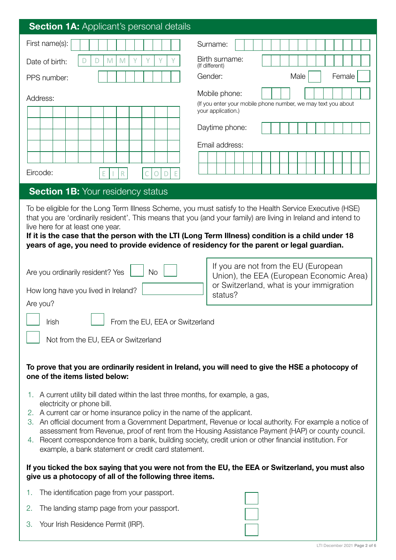| <b>Section 1A: Applicant's personal details</b>                                                                                                                                                                                                                          |                                                                                                                                                                                                                          |
|--------------------------------------------------------------------------------------------------------------------------------------------------------------------------------------------------------------------------------------------------------------------------|--------------------------------------------------------------------------------------------------------------------------------------------------------------------------------------------------------------------------|
| First name(s):                                                                                                                                                                                                                                                           | Surname:                                                                                                                                                                                                                 |
| M<br>Date of birth:<br>M                                                                                                                                                                                                                                                 | Birth surname:<br>(If different)                                                                                                                                                                                         |
| PPS number:                                                                                                                                                                                                                                                              | Gender:<br>Male<br>Female                                                                                                                                                                                                |
| Address:<br>Eircode:<br>R<br>D<br>Ε<br>Е<br>O                                                                                                                                                                                                                            | Mobile phone:<br>(If you enter your mobile phone number, we may text you about<br>your application.)<br>Daytime phone:<br>Email address:                                                                                 |
| <b>Section 1B: Your residency status</b>                                                                                                                                                                                                                                 |                                                                                                                                                                                                                          |
| live here for at least one year.<br>If it is the case that the person with the LTI (Long Term Illness) condition is a child under 18<br>years of age, you need to provide evidence of residency for the parent or legal guardian.                                        | To be eligible for the Long Term Illness Scheme, you must satisfy to the Health Service Executive (HSE)<br>that you are 'ordinarily resident'. This means that you (and your family) are living in Ireland and intend to |
| Are you ordinarily resident? Yes<br><b>No</b><br>How long have you lived in Ireland?<br>Are you?                                                                                                                                                                         | If you are not from the EU (European<br>Union), the EEA (European Economic Area)<br>or Switzerland, what is your immigration<br>status?                                                                                  |
| From the EU, EEA or Switzerland<br>Irish                                                                                                                                                                                                                                 |                                                                                                                                                                                                                          |
|                                                                                                                                                                                                                                                                          |                                                                                                                                                                                                                          |
| Not from the EU, EEA or Switzerland                                                                                                                                                                                                                                      |                                                                                                                                                                                                                          |
| To prove that you are ordinarily resident in Ireland, you will need to give the HSE a photocopy of<br>one of the items listed below:                                                                                                                                     |                                                                                                                                                                                                                          |
| 1. A current utility bill dated within the last three months, for example, a gas,                                                                                                                                                                                        |                                                                                                                                                                                                                          |
| electricity or phone bill.<br>2. A current car or home insurance policy in the name of the applicant.<br>4. Recent correspondence from a bank, building society, credit union or other financial institution. For<br>example, a bank statement or credit card statement. | 3. An official document from a Government Department, Revenue or local authority. For example a notice of<br>assessment from Revenue, proof of rent from the Housing Assistance Payment (HAP) or county council.         |
| give us a photocopy of all of the following three items.                                                                                                                                                                                                                 | If you ticked the box saying that you were not from the EU, the EEA or Switzerland, you must also                                                                                                                        |
| The identification page from your passport.<br>1.                                                                                                                                                                                                                        |                                                                                                                                                                                                                          |
| 2.<br>The landing stamp page from your passport.                                                                                                                                                                                                                         |                                                                                                                                                                                                                          |
| Your Irish Residence Permit (IRP).<br>3.                                                                                                                                                                                                                                 |                                                                                                                                                                                                                          |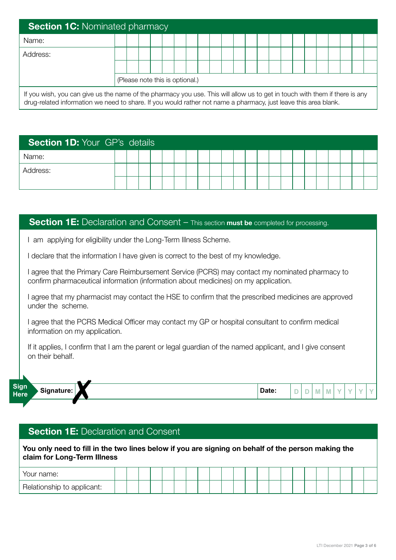| <b>Section 1C: Nominated pharmacy</b>                                                                                                                                                                                                          |                                 |  |  |  |  |  |  |  |  |  |  |  |  |  |  |  |  |  |  |  |  |  |
|------------------------------------------------------------------------------------------------------------------------------------------------------------------------------------------------------------------------------------------------|---------------------------------|--|--|--|--|--|--|--|--|--|--|--|--|--|--|--|--|--|--|--|--|--|
| Name:                                                                                                                                                                                                                                          |                                 |  |  |  |  |  |  |  |  |  |  |  |  |  |  |  |  |  |  |  |  |  |
| Address:                                                                                                                                                                                                                                       |                                 |  |  |  |  |  |  |  |  |  |  |  |  |  |  |  |  |  |  |  |  |  |
|                                                                                                                                                                                                                                                |                                 |  |  |  |  |  |  |  |  |  |  |  |  |  |  |  |  |  |  |  |  |  |
|                                                                                                                                                                                                                                                | (Please note this is optional.) |  |  |  |  |  |  |  |  |  |  |  |  |  |  |  |  |  |  |  |  |  |
| If you wish, you can give us the name of the pharmacy you use. This will allow us to get in touch with them if there is any<br>drug-related information we need to share. If you would rather not name a pharmacy, just leave this area blank. |                                 |  |  |  |  |  |  |  |  |  |  |  |  |  |  |  |  |  |  |  |  |  |

| <b>Section 1D: Your GP's details</b> |  |  |  |  |  |  |  |  |  |  |  |  |  |  |  |  |
|--------------------------------------|--|--|--|--|--|--|--|--|--|--|--|--|--|--|--|--|
| Name:                                |  |  |  |  |  |  |  |  |  |  |  |  |  |  |  |  |
| Address:                             |  |  |  |  |  |  |  |  |  |  |  |  |  |  |  |  |
|                                      |  |  |  |  |  |  |  |  |  |  |  |  |  |  |  |  |

#### **Section 1E:** Declaration and Consent – This section must be completed for processing.

I am applying for eligibility under the Long-Term Illness Scheme.

I declare that the information I have given is correct to the best of my knowledge.

I agree that the Primary Care Reimbursement Service (PCRS) may contact my nominated pharmacy to confirm pharmaceutical information (information about medicines) on my application.

I agree that my pharmacist may contact the HSE to confirm that the prescribed medicines are approved under the scheme.

I agree that the PCRS Medical Officer may contact my GP or hospital consultant to confirm medical information on my application.

If it applies, I confirm that I am the parent or legal guardian of the named applicant, and I give consent on their behalf.



### **Section 1E: Declaration and Consent**

You only need to fill in the two lines below if you are signing on behalf of the person making the claim for Long-Term Illness

| mame:                      |  |  |  |  |  |  |  |  |  |  |  |
|----------------------------|--|--|--|--|--|--|--|--|--|--|--|
| Relationship to applicant: |  |  |  |  |  |  |  |  |  |  |  |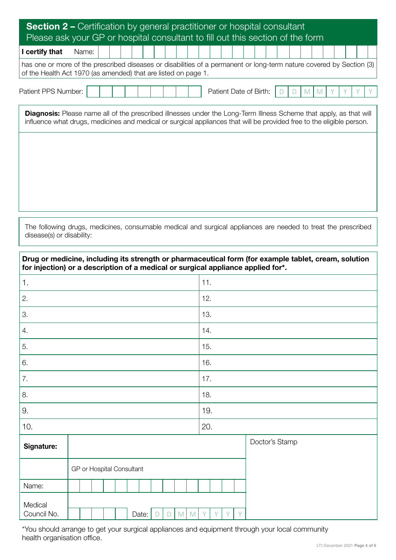| <b>Section 2 –</b> Certification by general practitioner or hospital consultant<br>Please ask your GP or hospital consultant to fill out this section of the form                                                                                  |       |  |  |  |  |  |  |  |  |                        |  |  |  |  |  |  |
|----------------------------------------------------------------------------------------------------------------------------------------------------------------------------------------------------------------------------------------------------|-------|--|--|--|--|--|--|--|--|------------------------|--|--|--|--|--|--|
| I certify that                                                                                                                                                                                                                                     | Name: |  |  |  |  |  |  |  |  |                        |  |  |  |  |  |  |
| has one or more of the prescribed diseases or disabilities of a permanent or long-term nature covered by Section (3)<br>of the Health Act 1970 (as amended) that are listed on page 1.                                                             |       |  |  |  |  |  |  |  |  |                        |  |  |  |  |  |  |
| Patient PPS Number:                                                                                                                                                                                                                                |       |  |  |  |  |  |  |  |  | Patient Date of Birth: |  |  |  |  |  |  |
| <b>Diagnosis:</b> Please name all of the prescribed illnesses under the Long-Term Illness Scheme that apply, as that will<br>influence what drugs, medicines and medical or surgical appliances that will be provided free to the eligible person. |       |  |  |  |  |  |  |  |  |                        |  |  |  |  |  |  |
|                                                                                                                                                                                                                                                    |       |  |  |  |  |  |  |  |  |                        |  |  |  |  |  |  |
|                                                                                                                                                                                                                                                    |       |  |  |  |  |  |  |  |  |                        |  |  |  |  |  |  |
|                                                                                                                                                                                                                                                    |       |  |  |  |  |  |  |  |  |                        |  |  |  |  |  |  |

The following drugs, medicines, consumable medical and surgical appliances are needed to treat the prescribed disease(s) or disability:

|             | for injection) or a description of a medical or surgical appliance applied for*. |                         | Drug or medicine, including its strength or pharmaceutical form (for example tablet, cream, solution |
|-------------|----------------------------------------------------------------------------------|-------------------------|------------------------------------------------------------------------------------------------------|
| 1.          |                                                                                  | 11.                     |                                                                                                      |
| 2.          |                                                                                  | 12.                     |                                                                                                      |
| З.          |                                                                                  | 13.                     |                                                                                                      |
| 4.          |                                                                                  | 14.                     |                                                                                                      |
| 5.          |                                                                                  | 15.                     |                                                                                                      |
| 6.          |                                                                                  | 16.                     |                                                                                                      |
| 7.          |                                                                                  | 17.                     |                                                                                                      |
| 8.          |                                                                                  | 18.                     |                                                                                                      |
| 9.          |                                                                                  | 19.                     |                                                                                                      |
| 10.         |                                                                                  | 20.                     |                                                                                                      |
| Signature:  |                                                                                  |                         | Doctor's Stamp                                                                                       |
|             |                                                                                  |                         |                                                                                                      |
|             | GP or Hospital Consultant                                                        |                         |                                                                                                      |
| Name:       |                                                                                  |                         |                                                                                                      |
| Medical     |                                                                                  |                         |                                                                                                      |
| Council No. | M<br>Date:<br>D<br>D                                                             | <b>V</b><br>M<br>Y<br>V |                                                                                                      |

\*You should arrange to get your surgical appliances and equipment through your local community health organisation office.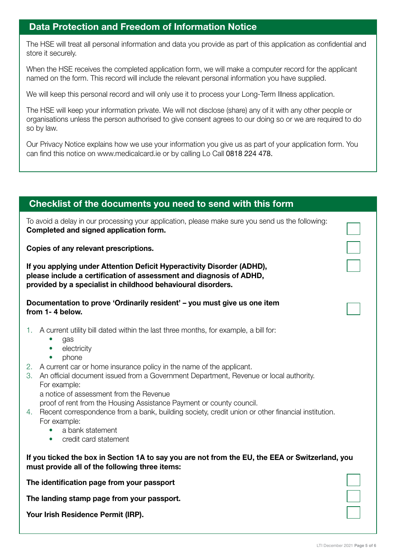## Data Protection and Freedom of Information Notice

The HSE will treat all personal information and data you provide as part of this application as confidential and store it securely.

When the HSE receives the completed application form, we will make a computer record for the applicant named on the form. This record will include the relevant personal information you have supplied.

We will keep this personal record and will only use it to process your Long-Term Illness application.

The HSE will keep your information private. We will not disclose (share) any of it with any other people or organisations unless the person authorised to give consent agrees to our doing so or we are required to do so by law.

Our Privacy Notice explains how we use your information you give us as part of your application form. You can find this notice on www.medicalcard.ie or by calling Lo Call 0818 224 478.

| Checklist of the documents you need to send with this form                                                                                                                                                                                                                                                                                                                                                                                                                                                                                                                                                                                        |  |
|---------------------------------------------------------------------------------------------------------------------------------------------------------------------------------------------------------------------------------------------------------------------------------------------------------------------------------------------------------------------------------------------------------------------------------------------------------------------------------------------------------------------------------------------------------------------------------------------------------------------------------------------------|--|
| To avoid a delay in our processing your application, please make sure you send us the following:<br>Completed and signed application form.                                                                                                                                                                                                                                                                                                                                                                                                                                                                                                        |  |
| Copies of any relevant prescriptions.                                                                                                                                                                                                                                                                                                                                                                                                                                                                                                                                                                                                             |  |
| If you applying under Attention Deficit Hyperactivity Disorder (ADHD),<br>please include a certification of assessment and diagnosis of ADHD,<br>provided by a specialist in childhood behavioural disorders.                                                                                                                                                                                                                                                                                                                                                                                                                                     |  |
| Documentation to prove 'Ordinarily resident' - you must give us one item<br>from 1-4 below.                                                                                                                                                                                                                                                                                                                                                                                                                                                                                                                                                       |  |
| A current utility bill dated within the last three months, for example, a bill for:<br>1.<br>gas<br>electricity<br>$\bullet$<br>phone<br>2. A current car or home insurance policy in the name of the applicant.<br>An official document issued from a Government Department, Revenue or local authority.<br>3.<br>For example:<br>a notice of assessment from the Revenue<br>proof of rent from the Housing Assistance Payment or county council.<br>4. Recent correspondence from a bank, building society, credit union or other financial institution.<br>For example:<br>a bank statement<br>$\bullet$<br>credit card statement<br>$\bullet$ |  |
| If you ticked the box in Section 1A to say you are not from the EU, the EEA or Switzerland, you<br>must provide all of the following three items:                                                                                                                                                                                                                                                                                                                                                                                                                                                                                                 |  |
| The identification page from your passport                                                                                                                                                                                                                                                                                                                                                                                                                                                                                                                                                                                                        |  |
| The landing stamp page from your passport.                                                                                                                                                                                                                                                                                                                                                                                                                                                                                                                                                                                                        |  |
| Your Irish Residence Permit (IRP).                                                                                                                                                                                                                                                                                                                                                                                                                                                                                                                                                                                                                |  |
|                                                                                                                                                                                                                                                                                                                                                                                                                                                                                                                                                                                                                                                   |  |